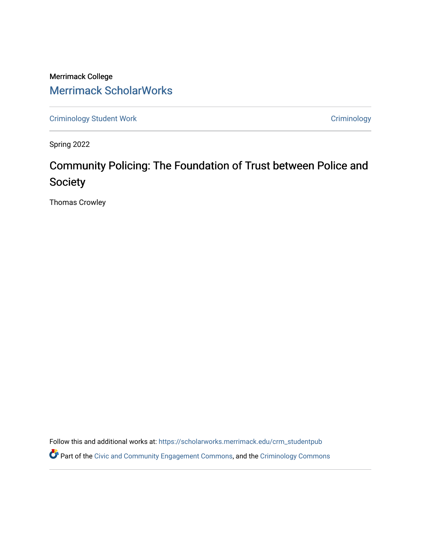Merrimack College [Merrimack ScholarWorks](https://scholarworks.merrimack.edu/) 

[Criminology Student Work](https://scholarworks.merrimack.edu/crm_studentpub) **Criminology** Criminology

Spring 2022

# Community Policing: The Foundation of Trust between Police and Society

Thomas Crowley

Follow this and additional works at: [https://scholarworks.merrimack.edu/crm\\_studentpub](https://scholarworks.merrimack.edu/crm_studentpub?utm_source=scholarworks.merrimack.edu%2Fcrm_studentpub%2F47&utm_medium=PDF&utm_campaign=PDFCoverPages) 

Part of the [Civic and Community Engagement Commons](https://network.bepress.com/hgg/discipline/1028?utm_source=scholarworks.merrimack.edu%2Fcrm_studentpub%2F47&utm_medium=PDF&utm_campaign=PDFCoverPages), and the [Criminology Commons](https://network.bepress.com/hgg/discipline/417?utm_source=scholarworks.merrimack.edu%2Fcrm_studentpub%2F47&utm_medium=PDF&utm_campaign=PDFCoverPages)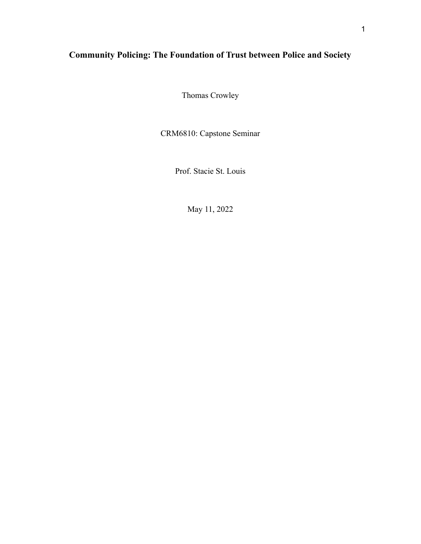# **Community Policing: The Foundation of Trust between Police and Society**

Thomas Crowley

CRM6810: Capstone Seminar

Prof. Stacie St. Louis

May 11, 2022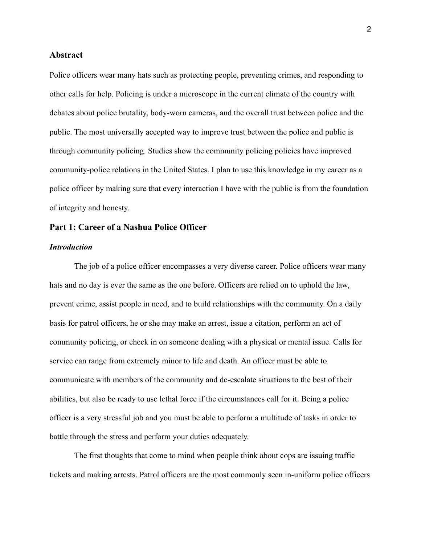# **Abstract**

Police officers wear many hats such as protecting people, preventing crimes, and responding to other calls for help. Policing is under a microscope in the current climate of the country with debates about police brutality, body-worn cameras, and the overall trust between police and the public. The most universally accepted way to improve trust between the police and public is through community policing. Studies show the community policing policies have improved community-police relations in the United States. I plan to use this knowledge in my career as a police officer by making sure that every interaction I have with the public is from the foundation of integrity and honesty.

# **Part 1: Career of a Nashua Police Officer**

# *Introduction*

The job of a police officer encompasses a very diverse career. Police officers wear many hats and no day is ever the same as the one before. Officers are relied on to uphold the law, prevent crime, assist people in need, and to build relationships with the community. On a daily basis for patrol officers, he or she may make an arrest, issue a citation, perform an act of community policing, or check in on someone dealing with a physical or mental issue. Calls for service can range from extremely minor to life and death. An officer must be able to communicate with members of the community and de-escalate situations to the best of their abilities, but also be ready to use lethal force if the circumstances call for it. Being a police officer is a very stressful job and you must be able to perform a multitude of tasks in order to battle through the stress and perform your duties adequately.

The first thoughts that come to mind when people think about cops are issuing traffic tickets and making arrests. Patrol officers are the most commonly seen in-uniform police officers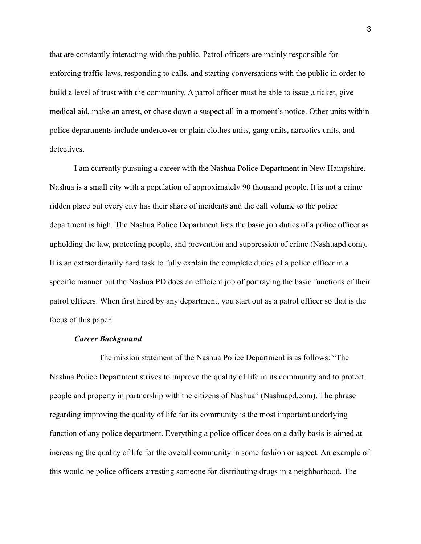that are constantly interacting with the public. Patrol officers are mainly responsible for enforcing traffic laws, responding to calls, and starting conversations with the public in order to build a level of trust with the community. A patrol officer must be able to issue a ticket, give medical aid, make an arrest, or chase down a suspect all in a moment's notice. Other units within police departments include undercover or plain clothes units, gang units, narcotics units, and detectives.

I am currently pursuing a career with the Nashua Police Department in New Hampshire. Nashua is a small city with a population of approximately 90 thousand people. It is not a crime ridden place but every city has their share of incidents and the call volume to the police department is high. The Nashua Police Department lists the basic job duties of a police officer as upholding the law, protecting people, and prevention and suppression of crime (Nashuapd.com). It is an extraordinarily hard task to fully explain the complete duties of a police officer in a specific manner but the Nashua PD does an efficient job of portraying the basic functions of their patrol officers. When first hired by any department, you start out as a patrol officer so that is the focus of this paper.

# *Career Background*

The mission statement of the Nashua Police Department is as follows: "The Nashua Police Department strives to improve the quality of life in its community and to protect people and property in partnership with the citizens of Nashua" (Nashuapd.com). The phrase regarding improving the quality of life for its community is the most important underlying function of any police department. Everything a police officer does on a daily basis is aimed at increasing the quality of life for the overall community in some fashion or aspect. An example of this would be police officers arresting someone for distributing drugs in a neighborhood. The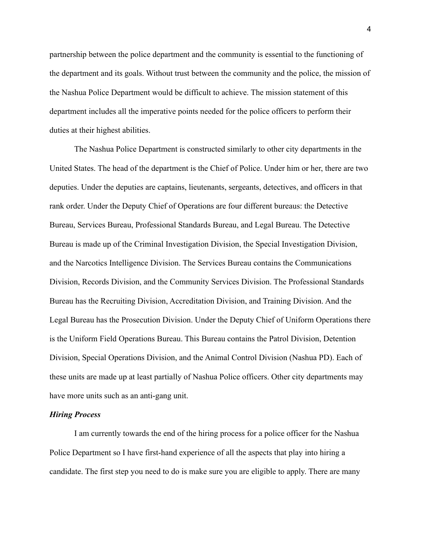partnership between the police department and the community is essential to the functioning of the department and its goals. Without trust between the community and the police, the mission of the Nashua Police Department would be difficult to achieve. The mission statement of this department includes all the imperative points needed for the police officers to perform their duties at their highest abilities.

The Nashua Police Department is constructed similarly to other city departments in the United States. The head of the department is the Chief of Police. Under him or her, there are two deputies. Under the deputies are captains, lieutenants, sergeants, detectives, and officers in that rank order. Under the Deputy Chief of Operations are four different bureaus: the Detective Bureau, Services Bureau, Professional Standards Bureau, and Legal Bureau. The Detective Bureau is made up of the Criminal Investigation Division, the Special Investigation Division, and the Narcotics Intelligence Division. The Services Bureau contains the Communications Division, Records Division, and the Community Services Division. The Professional Standards Bureau has the Recruiting Division, Accreditation Division, and Training Division. And the Legal Bureau has the Prosecution Division. Under the Deputy Chief of Uniform Operations there is the Uniform Field Operations Bureau. This Bureau contains the Patrol Division, Detention Division, Special Operations Division, and the Animal Control Division (Nashua PD). Each of these units are made up at least partially of Nashua Police officers. Other city departments may have more units such as an anti-gang unit.

#### *Hiring Process*

I am currently towards the end of the hiring process for a police officer for the Nashua Police Department so I have first-hand experience of all the aspects that play into hiring a candidate. The first step you need to do is make sure you are eligible to apply. There are many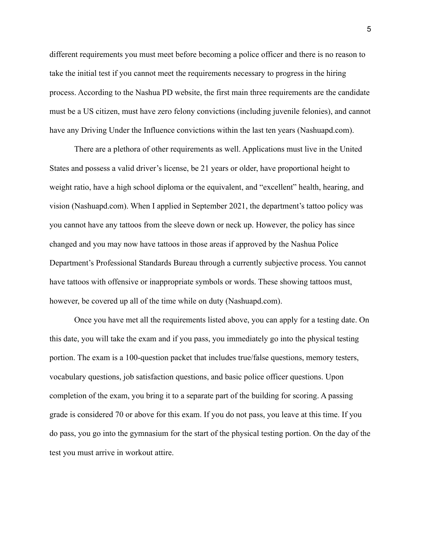different requirements you must meet before becoming a police officer and there is no reason to take the initial test if you cannot meet the requirements necessary to progress in the hiring process. According to the Nashua PD website, the first main three requirements are the candidate must be a US citizen, must have zero felony convictions (including juvenile felonies), and cannot have any Driving Under the Influence convictions within the last ten years (Nashuapd.com).

There are a plethora of other requirements as well. Applications must live in the United States and possess a valid driver's license, be 21 years or older, have proportional height to weight ratio, have a high school diploma or the equivalent, and "excellent" health, hearing, and vision (Nashuapd.com). When I applied in September 2021, the department's tattoo policy was you cannot have any tattoos from the sleeve down or neck up. However, the policy has since changed and you may now have tattoos in those areas if approved by the Nashua Police Department's Professional Standards Bureau through a currently subjective process. You cannot have tattoos with offensive or inappropriate symbols or words. These showing tattoos must, however, be covered up all of the time while on duty (Nashuapd.com).

Once you have met all the requirements listed above, you can apply for a testing date. On this date, you will take the exam and if you pass, you immediately go into the physical testing portion. The exam is a 100-question packet that includes true/false questions, memory testers, vocabulary questions, job satisfaction questions, and basic police officer questions. Upon completion of the exam, you bring it to a separate part of the building for scoring. A passing grade is considered 70 or above for this exam. If you do not pass, you leave at this time. If you do pass, you go into the gymnasium for the start of the physical testing portion. On the day of the test you must arrive in workout attire.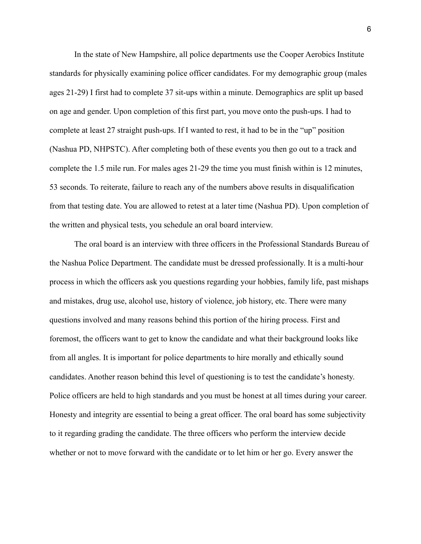In the state of New Hampshire, all police departments use the Cooper Aerobics Institute standards for physically examining police officer candidates. For my demographic group (males ages 21-29) I first had to complete 37 sit-ups within a minute. Demographics are split up based on age and gender. Upon completion of this first part, you move onto the push-ups. I had to complete at least 27 straight push-ups. If I wanted to rest, it had to be in the "up" position (Nashua PD, NHPSTC). After completing both of these events you then go out to a track and complete the 1.5 mile run. For males ages 21-29 the time you must finish within is 12 minutes, 53 seconds. To reiterate, failure to reach any of the numbers above results in disqualification from that testing date. You are allowed to retest at a later time (Nashua PD). Upon completion of the written and physical tests, you schedule an oral board interview.

The oral board is an interview with three officers in the Professional Standards Bureau of the Nashua Police Department. The candidate must be dressed professionally. It is a multi-hour process in which the officers ask you questions regarding your hobbies, family life, past mishaps and mistakes, drug use, alcohol use, history of violence, job history, etc. There were many questions involved and many reasons behind this portion of the hiring process. First and foremost, the officers want to get to know the candidate and what their background looks like from all angles. It is important for police departments to hire morally and ethically sound candidates. Another reason behind this level of questioning is to test the candidate's honesty. Police officers are held to high standards and you must be honest at all times during your career. Honesty and integrity are essential to being a great officer. The oral board has some subjectivity to it regarding grading the candidate. The three officers who perform the interview decide whether or not to move forward with the candidate or to let him or her go. Every answer the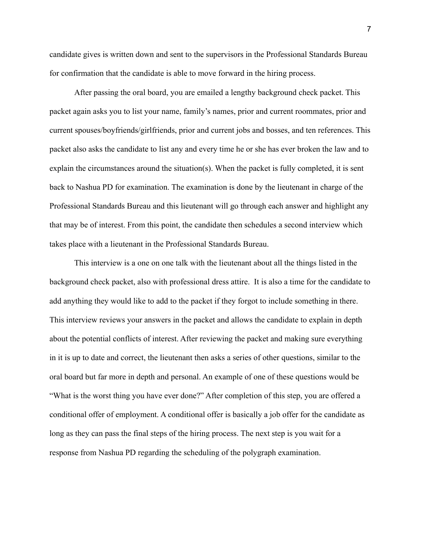candidate gives is written down and sent to the supervisors in the Professional Standards Bureau for confirmation that the candidate is able to move forward in the hiring process.

After passing the oral board, you are emailed a lengthy background check packet. This packet again asks you to list your name, family's names, prior and current roommates, prior and current spouses/boyfriends/girlfriends, prior and current jobs and bosses, and ten references. This packet also asks the candidate to list any and every time he or she has ever broken the law and to explain the circumstances around the situation(s). When the packet is fully completed, it is sent back to Nashua PD for examination. The examination is done by the lieutenant in charge of the Professional Standards Bureau and this lieutenant will go through each answer and highlight any that may be of interest. From this point, the candidate then schedules a second interview which takes place with a lieutenant in the Professional Standards Bureau.

This interview is a one on one talk with the lieutenant about all the things listed in the background check packet, also with professional dress attire. It is also a time for the candidate to add anything they would like to add to the packet if they forgot to include something in there. This interview reviews your answers in the packet and allows the candidate to explain in depth about the potential conflicts of interest. After reviewing the packet and making sure everything in it is up to date and correct, the lieutenant then asks a series of other questions, similar to the oral board but far more in depth and personal. An example of one of these questions would be "What is the worst thing you have ever done?" After completion of this step, you are offered a conditional offer of employment. A conditional offer is basically a job offer for the candidate as long as they can pass the final steps of the hiring process. The next step is you wait for a response from Nashua PD regarding the scheduling of the polygraph examination.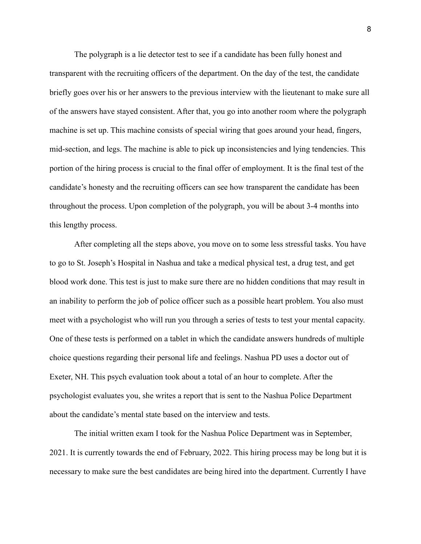The polygraph is a lie detector test to see if a candidate has been fully honest and transparent with the recruiting officers of the department. On the day of the test, the candidate briefly goes over his or her answers to the previous interview with the lieutenant to make sure all of the answers have stayed consistent. After that, you go into another room where the polygraph machine is set up. This machine consists of special wiring that goes around your head, fingers, mid-section, and legs. The machine is able to pick up inconsistencies and lying tendencies. This portion of the hiring process is crucial to the final offer of employment. It is the final test of the candidate's honesty and the recruiting officers can see how transparent the candidate has been throughout the process. Upon completion of the polygraph, you will be about 3-4 months into this lengthy process.

After completing all the steps above, you move on to some less stressful tasks. You have to go to St. Joseph's Hospital in Nashua and take a medical physical test, a drug test, and get blood work done. This test is just to make sure there are no hidden conditions that may result in an inability to perform the job of police officer such as a possible heart problem. You also must meet with a psychologist who will run you through a series of tests to test your mental capacity. One of these tests is performed on a tablet in which the candidate answers hundreds of multiple choice questions regarding their personal life and feelings. Nashua PD uses a doctor out of Exeter, NH. This psych evaluation took about a total of an hour to complete. After the psychologist evaluates you, she writes a report that is sent to the Nashua Police Department about the candidate's mental state based on the interview and tests.

The initial written exam I took for the Nashua Police Department was in September, 2021. It is currently towards the end of February, 2022. This hiring process may be long but it is necessary to make sure the best candidates are being hired into the department. Currently I have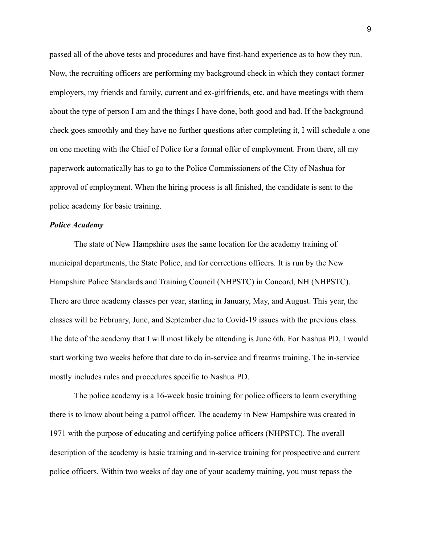passed all of the above tests and procedures and have first-hand experience as to how they run. Now, the recruiting officers are performing my background check in which they contact former employers, my friends and family, current and ex-girlfriends, etc. and have meetings with them about the type of person I am and the things I have done, both good and bad. If the background check goes smoothly and they have no further questions after completing it, I will schedule a one on one meeting with the Chief of Police for a formal offer of employment. From there, all my paperwork automatically has to go to the Police Commissioners of the City of Nashua for approval of employment. When the hiring process is all finished, the candidate is sent to the police academy for basic training.

#### *Police Academy*

The state of New Hampshire uses the same location for the academy training of municipal departments, the State Police, and for corrections officers. It is run by the New Hampshire Police Standards and Training Council (NHPSTC) in Concord, NH (NHPSTC). There are three academy classes per year, starting in January, May, and August. This year, the classes will be February, June, and September due to Covid-19 issues with the previous class. The date of the academy that I will most likely be attending is June 6th. For Nashua PD, I would start working two weeks before that date to do in-service and firearms training. The in-service mostly includes rules and procedures specific to Nashua PD.

The police academy is a 16-week basic training for police officers to learn everything there is to know about being a patrol officer. The academy in New Hampshire was created in 1971 with the purpose of educating and certifying police officers (NHPSTC). The overall description of the academy is basic training and in-service training for prospective and current police officers. Within two weeks of day one of your academy training, you must repass the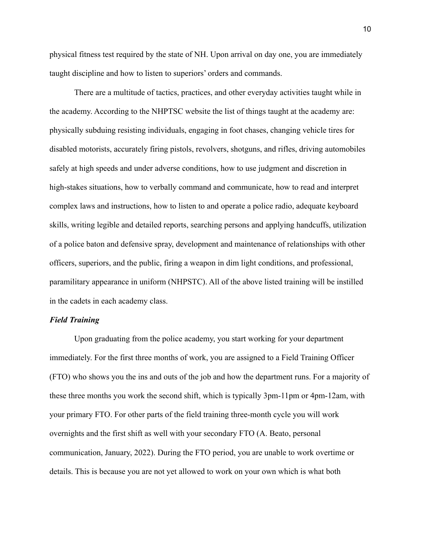physical fitness test required by the state of NH. Upon arrival on day one, you are immediately taught discipline and how to listen to superiors' orders and commands.

There are a multitude of tactics, practices, and other everyday activities taught while in the academy. According to the NHPTSC website the list of things taught at the academy are: physically subduing resisting individuals, engaging in foot chases, changing vehicle tires for disabled motorists, accurately firing pistols, revolvers, shotguns, and rifles, driving automobiles safely at high speeds and under adverse conditions, how to use judgment and discretion in high-stakes situations, how to verbally command and communicate, how to read and interpret complex laws and instructions, how to listen to and operate a police radio, adequate keyboard skills, writing legible and detailed reports, searching persons and applying handcuffs, utilization of a police baton and defensive spray, development and maintenance of relationships with other officers, superiors, and the public, firing a weapon in dim light conditions, and professional, paramilitary appearance in uniform (NHPSTC). All of the above listed training will be instilled in the cadets in each academy class.

# *Field Training*

Upon graduating from the police academy, you start working for your department immediately. For the first three months of work, you are assigned to a Field Training Officer (FTO) who shows you the ins and outs of the job and how the department runs. For a majority of these three months you work the second shift, which is typically 3pm-11pm or 4pm-12am, with your primary FTO. For other parts of the field training three-month cycle you will work overnights and the first shift as well with your secondary FTO (A. Beato, personal communication, January, 2022). During the FTO period, you are unable to work overtime or details. This is because you are not yet allowed to work on your own which is what both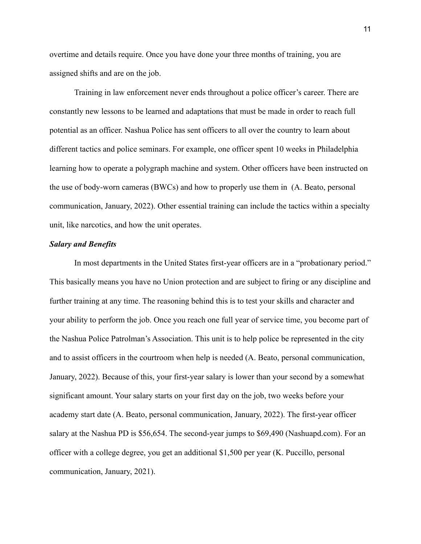overtime and details require. Once you have done your three months of training, you are assigned shifts and are on the job.

Training in law enforcement never ends throughout a police officer's career. There are constantly new lessons to be learned and adaptations that must be made in order to reach full potential as an officer. Nashua Police has sent officers to all over the country to learn about different tactics and police seminars. For example, one officer spent 10 weeks in Philadelphia learning how to operate a polygraph machine and system. Other officers have been instructed on the use of body-worn cameras (BWCs) and how to properly use them in (A. Beato, personal communication, January, 2022). Other essential training can include the tactics within a specialty unit, like narcotics, and how the unit operates.

## *Salary and Benefits*

In most departments in the United States first-year officers are in a "probationary period." This basically means you have no Union protection and are subject to firing or any discipline and further training at any time. The reasoning behind this is to test your skills and character and your ability to perform the job. Once you reach one full year of service time, you become part of the Nashua Police Patrolman's Association. This unit is to help police be represented in the city and to assist officers in the courtroom when help is needed (A. Beato, personal communication, January, 2022). Because of this, your first-year salary is lower than your second by a somewhat significant amount. Your salary starts on your first day on the job, two weeks before your academy start date (A. Beato, personal communication, January, 2022). The first-year officer salary at the Nashua PD is \$56,654. The second-year jumps to \$69,490 (Nashuapd.com). For an officer with a college degree, you get an additional \$1,500 per year (K. Puccillo, personal communication, January, 2021).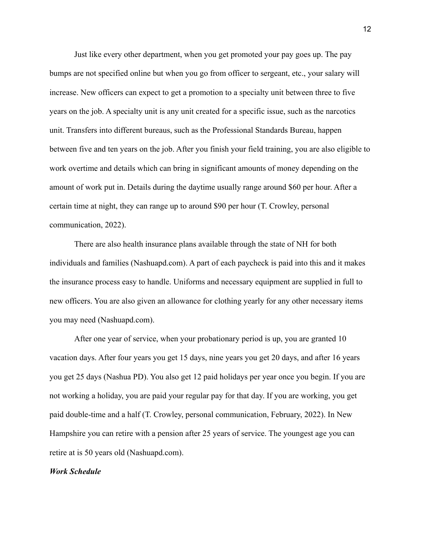Just like every other department, when you get promoted your pay goes up. The pay bumps are not specified online but when you go from officer to sergeant, etc., your salary will increase. New officers can expect to get a promotion to a specialty unit between three to five years on the job. A specialty unit is any unit created for a specific issue, such as the narcotics unit. Transfers into different bureaus, such as the Professional Standards Bureau, happen between five and ten years on the job. After you finish your field training, you are also eligible to work overtime and details which can bring in significant amounts of money depending on the amount of work put in. Details during the daytime usually range around \$60 per hour. After a certain time at night, they can range up to around \$90 per hour (T. Crowley, personal communication, 2022).

There are also health insurance plans available through the state of NH for both individuals and families (Nashuapd.com). A part of each paycheck is paid into this and it makes the insurance process easy to handle. Uniforms and necessary equipment are supplied in full to new officers. You are also given an allowance for clothing yearly for any other necessary items you may need (Nashuapd.com).

After one year of service, when your probationary period is up, you are granted 10 vacation days. After four years you get 15 days, nine years you get 20 days, and after 16 years you get 25 days (Nashua PD). You also get 12 paid holidays per year once you begin. If you are not working a holiday, you are paid your regular pay for that day. If you are working, you get paid double-time and a half (T. Crowley, personal communication, February, 2022). In New Hampshire you can retire with a pension after 25 years of service. The youngest age you can retire at is 50 years old (Nashuapd.com).

#### *Work Schedule*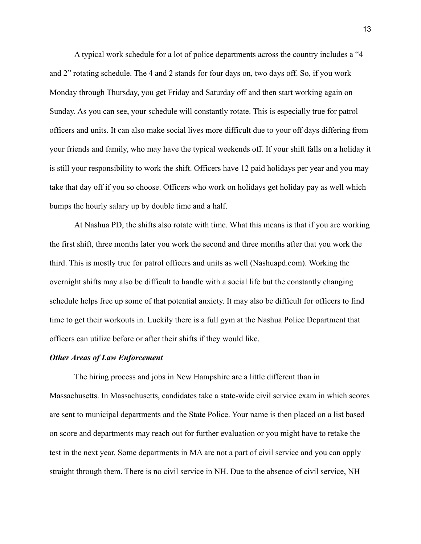A typical work schedule for a lot of police departments across the country includes a "4 and 2" rotating schedule. The 4 and 2 stands for four days on, two days off. So, if you work Monday through Thursday, you get Friday and Saturday off and then start working again on Sunday. As you can see, your schedule will constantly rotate. This is especially true for patrol officers and units. It can also make social lives more difficult due to your off days differing from your friends and family, who may have the typical weekends off. If your shift falls on a holiday it is still your responsibility to work the shift. Officers have 12 paid holidays per year and you may take that day off if you so choose. Officers who work on holidays get holiday pay as well which bumps the hourly salary up by double time and a half.

At Nashua PD, the shifts also rotate with time. What this means is that if you are working the first shift, three months later you work the second and three months after that you work the third. This is mostly true for patrol officers and units as well (Nashuapd.com). Working the overnight shifts may also be difficult to handle with a social life but the constantly changing schedule helps free up some of that potential anxiety. It may also be difficult for officers to find time to get their workouts in. Luckily there is a full gym at the Nashua Police Department that officers can utilize before or after their shifts if they would like.

# *Other Areas of Law Enforcement*

The hiring process and jobs in New Hampshire are a little different than in Massachusetts. In Massachusetts, candidates take a state-wide civil service exam in which scores are sent to municipal departments and the State Police. Your name is then placed on a list based on score and departments may reach out for further evaluation or you might have to retake the test in the next year. Some departments in MA are not a part of civil service and you can apply straight through them. There is no civil service in NH. Due to the absence of civil service, NH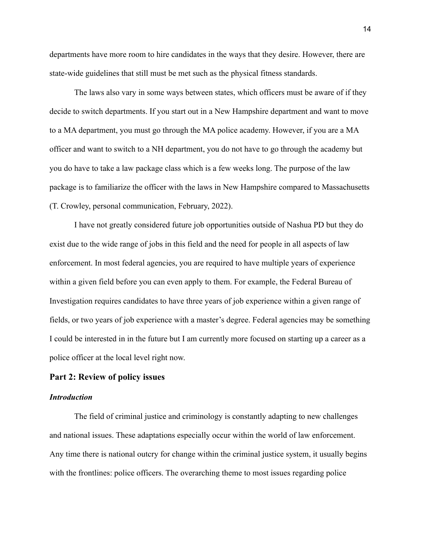departments have more room to hire candidates in the ways that they desire. However, there are state-wide guidelines that still must be met such as the physical fitness standards.

The laws also vary in some ways between states, which officers must be aware of if they decide to switch departments. If you start out in a New Hampshire department and want to move to a MA department, you must go through the MA police academy. However, if you are a MA officer and want to switch to a NH department, you do not have to go through the academy but you do have to take a law package class which is a few weeks long. The purpose of the law package is to familiarize the officer with the laws in New Hampshire compared to Massachusetts (T. Crowley, personal communication, February, 2022).

I have not greatly considered future job opportunities outside of Nashua PD but they do exist due to the wide range of jobs in this field and the need for people in all aspects of law enforcement. In most federal agencies, you are required to have multiple years of experience within a given field before you can even apply to them. For example, the Federal Bureau of Investigation requires candidates to have three years of job experience within a given range of fields, or two years of job experience with a master's degree. Federal agencies may be something I could be interested in in the future but I am currently more focused on starting up a career as a police officer at the local level right now.

# **Part 2: Review of policy issues**

# *Introduction*

The field of criminal justice and criminology is constantly adapting to new challenges and national issues. These adaptations especially occur within the world of law enforcement. Any time there is national outcry for change within the criminal justice system, it usually begins with the frontlines: police officers. The overarching theme to most issues regarding police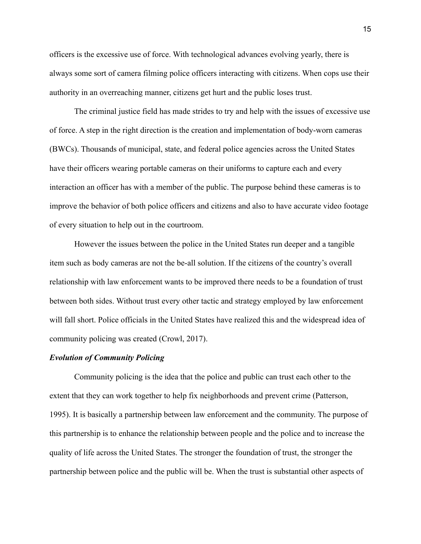officers is the excessive use of force. With technological advances evolving yearly, there is always some sort of camera filming police officers interacting with citizens. When cops use their authority in an overreaching manner, citizens get hurt and the public loses trust.

The criminal justice field has made strides to try and help with the issues of excessive use of force. A step in the right direction is the creation and implementation of body-worn cameras (BWCs). Thousands of municipal, state, and federal police agencies across the United States have their officers wearing portable cameras on their uniforms to capture each and every interaction an officer has with a member of the public. The purpose behind these cameras is to improve the behavior of both police officers and citizens and also to have accurate video footage of every situation to help out in the courtroom.

However the issues between the police in the United States run deeper and a tangible item such as body cameras are not the be-all solution. If the citizens of the country's overall relationship with law enforcement wants to be improved there needs to be a foundation of trust between both sides. Without trust every other tactic and strategy employed by law enforcement will fall short. Police officials in the United States have realized this and the widespread idea of community policing was created (Crowl, 2017).

# *Evolution of Community Policing*

Community policing is the idea that the police and public can trust each other to the extent that they can work together to help fix neighborhoods and prevent crime (Patterson, 1995). It is basically a partnership between law enforcement and the community. The purpose of this partnership is to enhance the relationship between people and the police and to increase the quality of life across the United States. The stronger the foundation of trust, the stronger the partnership between police and the public will be. When the trust is substantial other aspects of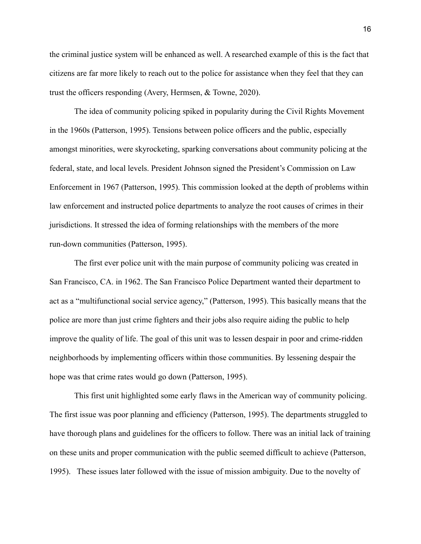the criminal justice system will be enhanced as well. A researched example of this is the fact that citizens are far more likely to reach out to the police for assistance when they feel that they can trust the officers responding (Avery, Hermsen, & Towne, 2020).

The idea of community policing spiked in popularity during the Civil Rights Movement in the 1960s (Patterson, 1995). Tensions between police officers and the public, especially amongst minorities, were skyrocketing, sparking conversations about community policing at the federal, state, and local levels. President Johnson signed the President's Commission on Law Enforcement in 1967 (Patterson, 1995). This commission looked at the depth of problems within law enforcement and instructed police departments to analyze the root causes of crimes in their jurisdictions. It stressed the idea of forming relationships with the members of the more run-down communities (Patterson, 1995).

The first ever police unit with the main purpose of community policing was created in San Francisco, CA. in 1962. The San Francisco Police Department wanted their department to act as a "multifunctional social service agency," (Patterson, 1995). This basically means that the police are more than just crime fighters and their jobs also require aiding the public to help improve the quality of life. The goal of this unit was to lessen despair in poor and crime-ridden neighborhoods by implementing officers within those communities. By lessening despair the hope was that crime rates would go down (Patterson, 1995).

This first unit highlighted some early flaws in the American way of community policing. The first issue was poor planning and efficiency (Patterson, 1995). The departments struggled to have thorough plans and guidelines for the officers to follow. There was an initial lack of training on these units and proper communication with the public seemed difficult to achieve (Patterson, 1995). These issues later followed with the issue of mission ambiguity. Due to the novelty of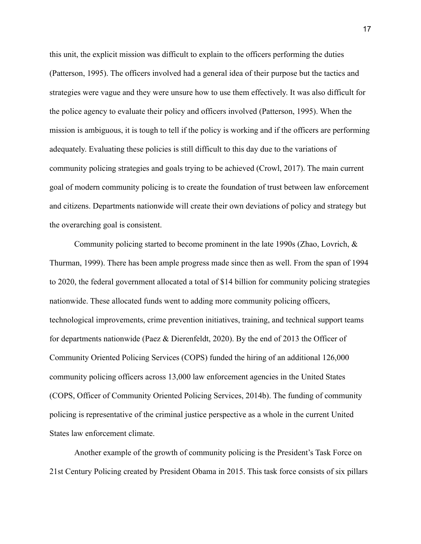this unit, the explicit mission was difficult to explain to the officers performing the duties (Patterson, 1995). The officers involved had a general idea of their purpose but the tactics and strategies were vague and they were unsure how to use them effectively. It was also difficult for the police agency to evaluate their policy and officers involved (Patterson, 1995). When the mission is ambiguous, it is tough to tell if the policy is working and if the officers are performing adequately. Evaluating these policies is still difficult to this day due to the variations of community policing strategies and goals trying to be achieved (Crowl, 2017). The main current goal of modern community policing is to create the foundation of trust between law enforcement and citizens. Departments nationwide will create their own deviations of policy and strategy but the overarching goal is consistent.

Community policing started to become prominent in the late 1990s (Zhao, Lovrich, & Thurman, 1999). There has been ample progress made since then as well. From the span of 1994 to 2020, the federal government allocated a total of \$14 billion for community policing strategies nationwide. These allocated funds went to adding more community policing officers, technological improvements, crime prevention initiatives, training, and technical support teams for departments nationwide (Paez & Dierenfeldt, 2020). By the end of 2013 the Officer of Community Oriented Policing Services (COPS) funded the hiring of an additional 126,000 community policing officers across 13,000 law enforcement agencies in the United States (COPS, Officer of Community Oriented Policing Services, 2014b). The funding of community policing is representative of the criminal justice perspective as a whole in the current United States law enforcement climate.

Another example of the growth of community policing is the President's Task Force on 21st Century Policing created by President Obama in 2015. This task force consists of six pillars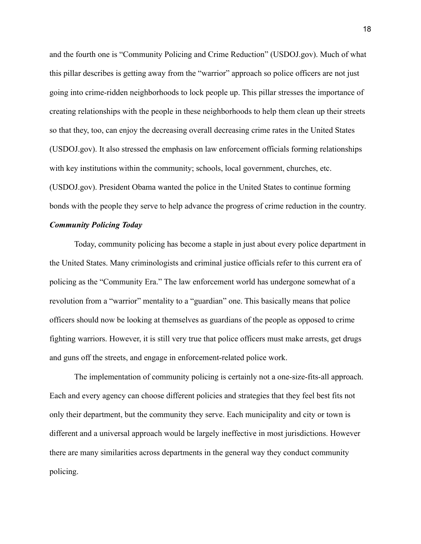and the fourth one is "Community Policing and Crime Reduction" (USDOJ.gov). Much of what this pillar describes is getting away from the "warrior" approach so police officers are not just going into crime-ridden neighborhoods to lock people up. This pillar stresses the importance of creating relationships with the people in these neighborhoods to help them clean up their streets so that they, too, can enjoy the decreasing overall decreasing crime rates in the United States (USDOJ.gov). It also stressed the emphasis on law enforcement officials forming relationships with key institutions within the community; schools, local government, churches, etc. (USDOJ.gov). President Obama wanted the police in the United States to continue forming bonds with the people they serve to help advance the progress of crime reduction in the country.

# *Community Policing Today*

Today, community policing has become a staple in just about every police department in the United States. Many criminologists and criminal justice officials refer to this current era of policing as the "Community Era." The law enforcement world has undergone somewhat of a revolution from a "warrior" mentality to a "guardian" one. This basically means that police officers should now be looking at themselves as guardians of the people as opposed to crime fighting warriors. However, it is still very true that police officers must make arrests, get drugs and guns off the streets, and engage in enforcement-related police work.

The implementation of community policing is certainly not a one-size-fits-all approach. Each and every agency can choose different policies and strategies that they feel best fits not only their department, but the community they serve. Each municipality and city or town is different and a universal approach would be largely ineffective in most jurisdictions. However there are many similarities across departments in the general way they conduct community policing.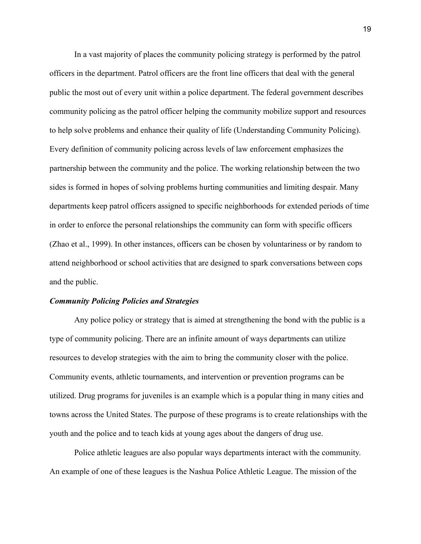In a vast majority of places the community policing strategy is performed by the patrol officers in the department. Patrol officers are the front line officers that deal with the general public the most out of every unit within a police department. The federal government describes community policing as the patrol officer helping the community mobilize support and resources to help solve problems and enhance their quality of life (Understanding Community Policing). Every definition of community policing across levels of law enforcement emphasizes the partnership between the community and the police. The working relationship between the two sides is formed in hopes of solving problems hurting communities and limiting despair. Many departments keep patrol officers assigned to specific neighborhoods for extended periods of time in order to enforce the personal relationships the community can form with specific officers (Zhao et al., 1999). In other instances, officers can be chosen by voluntariness or by random to attend neighborhood or school activities that are designed to spark conversations between cops and the public.

# *Community Policing Policies and Strategies*

Any police policy or strategy that is aimed at strengthening the bond with the public is a type of community policing. There are an infinite amount of ways departments can utilize resources to develop strategies with the aim to bring the community closer with the police. Community events, athletic tournaments, and intervention or prevention programs can be utilized. Drug programs for juveniles is an example which is a popular thing in many cities and towns across the United States. The purpose of these programs is to create relationships with the youth and the police and to teach kids at young ages about the dangers of drug use.

Police athletic leagues are also popular ways departments interact with the community. An example of one of these leagues is the Nashua Police Athletic League. The mission of the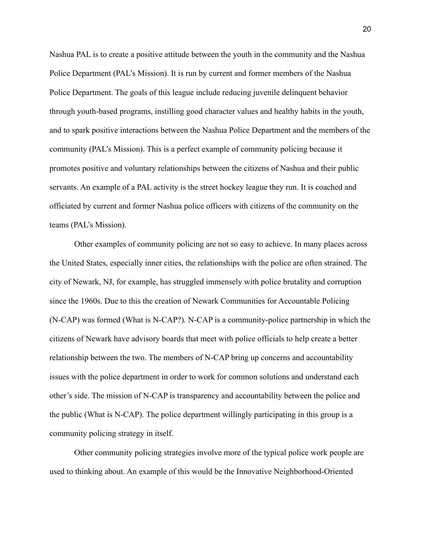Nashua PAL is to create a positive attitude between the youth in the community and the Nashua Police Department (PAL's Mission). It is run by current and former members of the Nashua Police Department. The goals of this league include reducing juvenile delinquent behavior through youth-based programs, instilling good character values and healthy habits in the youth, and to spark positive interactions between the Nashua Police Department and the members of the community (PAL's Mission). This is a perfect example of community policing because it promotes positive and voluntary relationships between the citizens of Nashua and their public servants. An example of a PAL activity is the street hockey league they run. It is coached and officiated by current and former Nashua police officers with citizens of the community on the teams (PAL's Mission).

Other examples of community policing are not so easy to achieve. In many places across the United States, especially inner cities, the relationships with the police are often strained. The city of Newark, NJ, for example, has struggled immensely with police brutality and corruption since the 1960s. Due to this the creation of Newark Communities for Accountable Policing (N-CAP) was formed (What is N-CAP?). N-CAP is a community-police partnership in which the citizens of Newark have advisory boards that meet with police officials to help create a better relationship between the two. The members of N-CAP bring up concerns and accountability issues with the police department in order to work for common solutions and understand each other's side. The mission of N-CAP is transparency and accountability between the police and the public (What is N-CAP). The police department willingly participating in this group is a community policing strategy in itself.

Other community policing strategies involve more of the typical police work people are used to thinking about. An example of this would be the Innovative Neighborhood-Oriented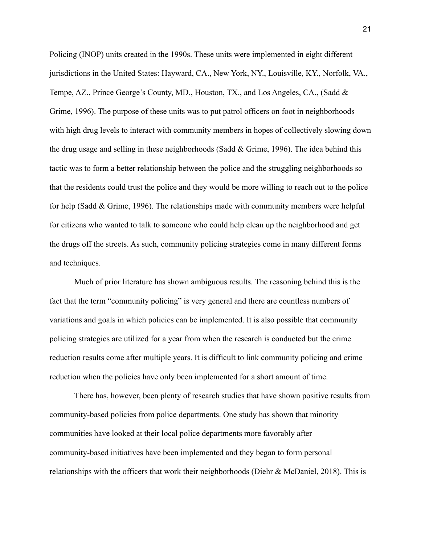Policing (INOP) units created in the 1990s. These units were implemented in eight different jurisdictions in the United States: Hayward, CA., New York, NY., Louisville, KY., Norfolk, VA., Tempe, AZ., Prince George's County, MD., Houston, TX., and Los Angeles, CA., (Sadd & Grime, 1996). The purpose of these units was to put patrol officers on foot in neighborhoods with high drug levels to interact with community members in hopes of collectively slowing down the drug usage and selling in these neighborhoods (Sadd & Grime, 1996). The idea behind this tactic was to form a better relationship between the police and the struggling neighborhoods so that the residents could trust the police and they would be more willing to reach out to the police for help (Sadd & Grime, 1996). The relationships made with community members were helpful for citizens who wanted to talk to someone who could help clean up the neighborhood and get the drugs off the streets. As such, community policing strategies come in many different forms and techniques.

Much of prior literature has shown ambiguous results. The reasoning behind this is the fact that the term "community policing" is very general and there are countless numbers of variations and goals in which policies can be implemented. It is also possible that community policing strategies are utilized for a year from when the research is conducted but the crime reduction results come after multiple years. It is difficult to link community policing and crime reduction when the policies have only been implemented for a short amount of time.

There has, however, been plenty of research studies that have shown positive results from community-based policies from police departments. One study has shown that minority communities have looked at their local police departments more favorably after community-based initiatives have been implemented and they began to form personal relationships with the officers that work their neighborhoods (Diehr & McDaniel, 2018). This is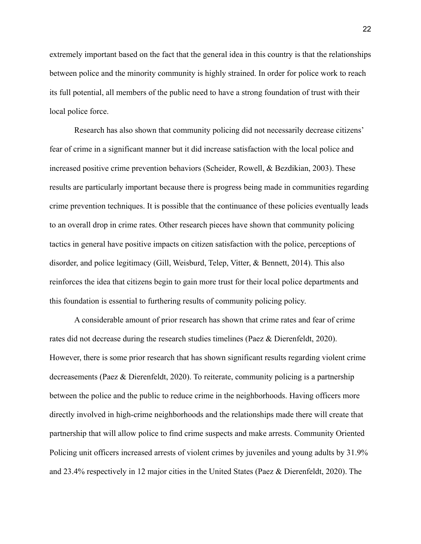extremely important based on the fact that the general idea in this country is that the relationships between police and the minority community is highly strained. In order for police work to reach its full potential, all members of the public need to have a strong foundation of trust with their local police force.

Research has also shown that community policing did not necessarily decrease citizens' fear of crime in a significant manner but it did increase satisfaction with the local police and increased positive crime prevention behaviors (Scheider, Rowell, & Bezdikian, 2003). These results are particularly important because there is progress being made in communities regarding crime prevention techniques. It is possible that the continuance of these policies eventually leads to an overall drop in crime rates. Other research pieces have shown that community policing tactics in general have positive impacts on citizen satisfaction with the police, perceptions of disorder, and police legitimacy (Gill, Weisburd, Telep, Vitter, & Bennett, 2014). This also reinforces the idea that citizens begin to gain more trust for their local police departments and this foundation is essential to furthering results of community policing policy.

A considerable amount of prior research has shown that crime rates and fear of crime rates did not decrease during the research studies timelines (Paez & Dierenfeldt, 2020). However, there is some prior research that has shown significant results regarding violent crime decreasements (Paez & Dierenfeldt, 2020). To reiterate, community policing is a partnership between the police and the public to reduce crime in the neighborhoods. Having officers more directly involved in high-crime neighborhoods and the relationships made there will create that partnership that will allow police to find crime suspects and make arrests. Community Oriented Policing unit officers increased arrests of violent crimes by juveniles and young adults by 31.9% and 23.4% respectively in 12 major cities in the United States (Paez & Dierenfeldt, 2020). The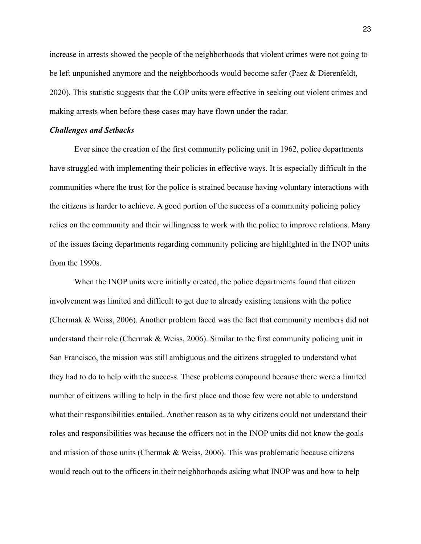increase in arrests showed the people of the neighborhoods that violent crimes were not going to be left unpunished anymore and the neighborhoods would become safer (Paez & Dierenfeldt, 2020). This statistic suggests that the COP units were effective in seeking out violent crimes and making arrests when before these cases may have flown under the radar.

#### *Challenges and Setbacks*

Ever since the creation of the first community policing unit in 1962, police departments have struggled with implementing their policies in effective ways. It is especially difficult in the communities where the trust for the police is strained because having voluntary interactions with the citizens is harder to achieve. A good portion of the success of a community policing policy relies on the community and their willingness to work with the police to improve relations. Many of the issues facing departments regarding community policing are highlighted in the INOP units from the 1990s.

When the INOP units were initially created, the police departments found that citizen involvement was limited and difficult to get due to already existing tensions with the police (Chermak & Weiss, 2006). Another problem faced was the fact that community members did not understand their role (Chermak & Weiss, 2006). Similar to the first community policing unit in San Francisco, the mission was still ambiguous and the citizens struggled to understand what they had to do to help with the success. These problems compound because there were a limited number of citizens willing to help in the first place and those few were not able to understand what their responsibilities entailed. Another reason as to why citizens could not understand their roles and responsibilities was because the officers not in the INOP units did not know the goals and mission of those units (Chermak  $\&$  Weiss, 2006). This was problematic because citizens would reach out to the officers in their neighborhoods asking what INOP was and how to help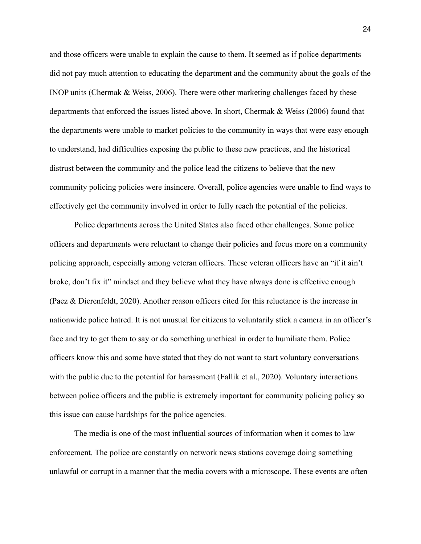and those officers were unable to explain the cause to them. It seemed as if police departments did not pay much attention to educating the department and the community about the goals of the INOP units (Chermak & Weiss, 2006). There were other marketing challenges faced by these departments that enforced the issues listed above. In short, Chermak & Weiss (2006) found that the departments were unable to market policies to the community in ways that were easy enough to understand, had difficulties exposing the public to these new practices, and the historical distrust between the community and the police lead the citizens to believe that the new community policing policies were insincere. Overall, police agencies were unable to find ways to effectively get the community involved in order to fully reach the potential of the policies.

Police departments across the United States also faced other challenges. Some police officers and departments were reluctant to change their policies and focus more on a community policing approach, especially among veteran officers. These veteran officers have an "if it ain't broke, don't fix it" mindset and they believe what they have always done is effective enough (Paez & Dierenfeldt, 2020). Another reason officers cited for this reluctance is the increase in nationwide police hatred. It is not unusual for citizens to voluntarily stick a camera in an officer's face and try to get them to say or do something unethical in order to humiliate them. Police officers know this and some have stated that they do not want to start voluntary conversations with the public due to the potential for harassment (Fallik et al., 2020). Voluntary interactions between police officers and the public is extremely important for community policing policy so this issue can cause hardships for the police agencies.

The media is one of the most influential sources of information when it comes to law enforcement. The police are constantly on network news stations coverage doing something unlawful or corrupt in a manner that the media covers with a microscope. These events are often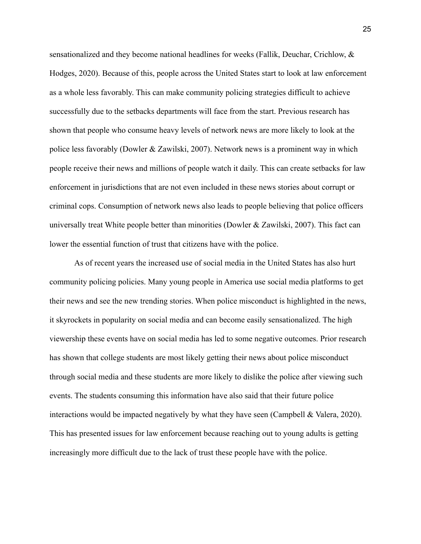sensationalized and they become national headlines for weeks (Fallik, Deuchar, Crichlow, & Hodges, 2020). Because of this, people across the United States start to look at law enforcement as a whole less favorably. This can make community policing strategies difficult to achieve successfully due to the setbacks departments will face from the start. Previous research has shown that people who consume heavy levels of network news are more likely to look at the police less favorably (Dowler & Zawilski, 2007). Network news is a prominent way in which people receive their news and millions of people watch it daily. This can create setbacks for law enforcement in jurisdictions that are not even included in these news stories about corrupt or criminal cops. Consumption of network news also leads to people believing that police officers universally treat White people better than minorities (Dowler & Zawilski, 2007). This fact can lower the essential function of trust that citizens have with the police.

As of recent years the increased use of social media in the United States has also hurt community policing policies. Many young people in America use social media platforms to get their news and see the new trending stories. When police misconduct is highlighted in the news, it skyrockets in popularity on social media and can become easily sensationalized. The high viewership these events have on social media has led to some negative outcomes. Prior research has shown that college students are most likely getting their news about police misconduct through social media and these students are more likely to dislike the police after viewing such events. The students consuming this information have also said that their future police interactions would be impacted negatively by what they have seen (Campbell & Valera, 2020). This has presented issues for law enforcement because reaching out to young adults is getting increasingly more difficult due to the lack of trust these people have with the police.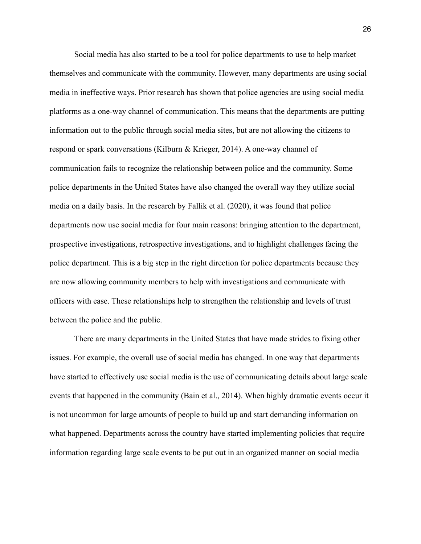Social media has also started to be a tool for police departments to use to help market themselves and communicate with the community. However, many departments are using social media in ineffective ways. Prior research has shown that police agencies are using social media platforms as a one-way channel of communication. This means that the departments are putting information out to the public through social media sites, but are not allowing the citizens to respond or spark conversations (Kilburn & Krieger, 2014). A one-way channel of communication fails to recognize the relationship between police and the community. Some police departments in the United States have also changed the overall way they utilize social media on a daily basis. In the research by Fallik et al. (2020), it was found that police departments now use social media for four main reasons: bringing attention to the department, prospective investigations, retrospective investigations, and to highlight challenges facing the police department. This is a big step in the right direction for police departments because they are now allowing community members to help with investigations and communicate with officers with ease. These relationships help to strengthen the relationship and levels of trust between the police and the public.

There are many departments in the United States that have made strides to fixing other issues. For example, the overall use of social media has changed. In one way that departments have started to effectively use social media is the use of communicating details about large scale events that happened in the community (Bain et al., 2014). When highly dramatic events occur it is not uncommon for large amounts of people to build up and start demanding information on what happened. Departments across the country have started implementing policies that require information regarding large scale events to be put out in an organized manner on social media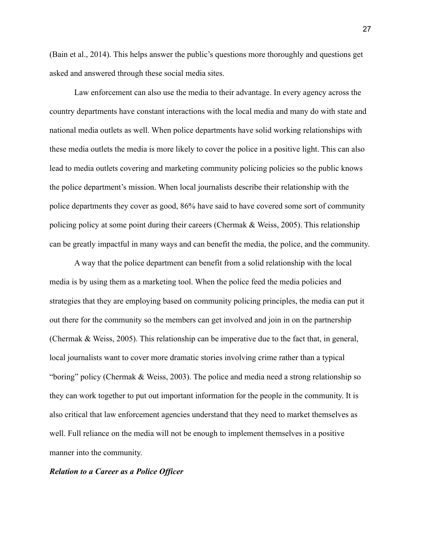(Bain et al., 2014). This helps answer the public's questions more thoroughly and questions get asked and answered through these social media sites.

Law enforcement can also use the media to their advantage. In every agency across the country departments have constant interactions with the local media and many do with state and national media outlets as well. When police departments have solid working relationships with these media outlets the media is more likely to cover the police in a positive light. This can also lead to media outlets covering and marketing community policing policies so the public knows the police department's mission. When local journalists describe their relationship with the police departments they cover as good, 86% have said to have covered some sort of community policing policy at some point during their careers (Chermak & Weiss, 2005). This relationship can be greatly impactful in many ways and can benefit the media, the police, and the community.

A way that the police department can benefit from a solid relationship with the local media is by using them as a marketing tool. When the police feed the media policies and strategies that they are employing based on community policing principles, the media can put it out there for the community so the members can get involved and join in on the partnership (Chermak & Weiss, 2005). This relationship can be imperative due to the fact that, in general, local journalists want to cover more dramatic stories involving crime rather than a typical "boring" policy (Chermak & Weiss, 2003). The police and media need a strong relationship so they can work together to put out important information for the people in the community. It is also critical that law enforcement agencies understand that they need to market themselves as well. Full reliance on the media will not be enough to implement themselves in a positive manner into the community.

#### *Relation to a Career as a Police Officer*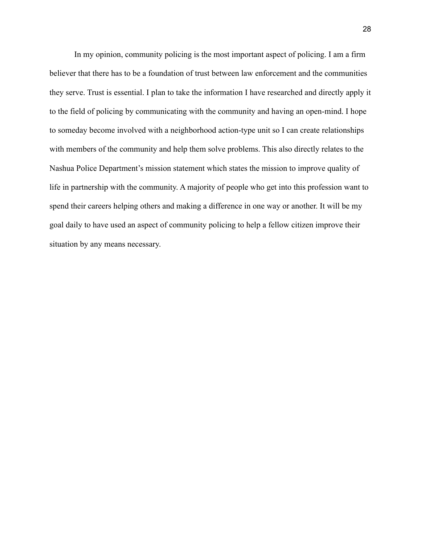In my opinion, community policing is the most important aspect of policing. I am a firm believer that there has to be a foundation of trust between law enforcement and the communities they serve. Trust is essential. I plan to take the information I have researched and directly apply it to the field of policing by communicating with the community and having an open-mind. I hope to someday become involved with a neighborhood action-type unit so I can create relationships with members of the community and help them solve problems. This also directly relates to the Nashua Police Department's mission statement which states the mission to improve quality of life in partnership with the community. A majority of people who get into this profession want to spend their careers helping others and making a difference in one way or another. It will be my goal daily to have used an aspect of community policing to help a fellow citizen improve their situation by any means necessary.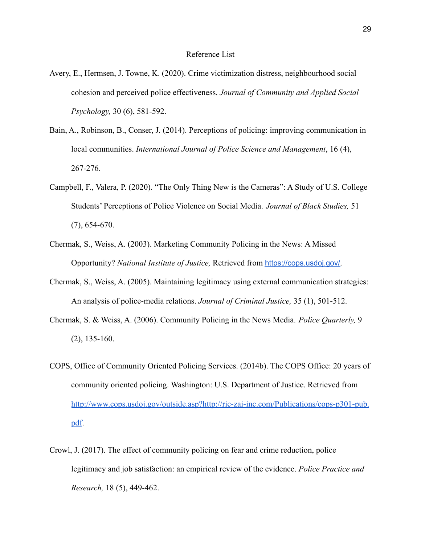- Avery, E., Hermsen, J. Towne, K. (2020). Crime victimization distress, neighbourhood social cohesion and perceived police effectiveness. *Journal of Community and Applied Social Psychology,* 30 (6), 581-592.
- Bain, A., Robinson, B., Conser, J. (2014). Perceptions of policing: improving communication in local communities. *International Journal of Police Science and Management*, 16 (4), 267-276.
- Campbell, F., Valera, P. (2020). "The Only Thing New is the Cameras": A Study of U.S. College Students' Perceptions of Police Violence on Social Media. *Journal of Black Studies,* 51 (7), 654-670.
- Chermak, S., Weiss, A. (2003). Marketing Community Policing in the News: A Missed Opportunity? *National Institute of Justice,* Retrieved from <https://cops.usdoj.gov/>.
- Chermak, S., Weiss, A. (2005). Maintaining legitimacy using external communication strategies: An analysis of police-media relations. *Journal of Criminal Justice,* 35 (1), 501-512.
- Chermak, S. & Weiss, A. (2006). Community Policing in the News Media. *Police Quarterly,* 9 (2), 135-160.
- COPS, Office of Community Oriented Policing Services. (2014b). The COPS Office: 20 years of community oriented policing. Washington: U.S. Department of Justice. Retrieved from [http://www.cops.usdoj.gov/outside.asp?http://ric-zai-inc.com/Publications/cops-p301-pub.](http://www.cops.usdoj.gov/outside.asp?http://ric-zai-inc.com/Publications/cops-p301-pub.pdf) [pdf](http://www.cops.usdoj.gov/outside.asp?http://ric-zai-inc.com/Publications/cops-p301-pub.pdf).
- Crowl, J. (2017). The effect of community policing on fear and crime reduction, police legitimacy and job satisfaction: an empirical review of the evidence. *Police Practice and Research,* 18 (5), 449-462.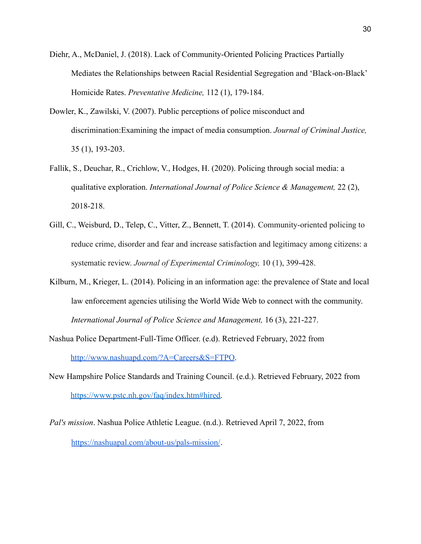- Diehr, A., McDaniel, J. (2018). Lack of Community-Oriented Policing Practices Partially Mediates the Relationships between Racial Residential Segregation and 'Black-on-Black' Homicide Rates. *Preventative Medicine,* 112 (1), 179-184.
- Dowler, K., Zawilski, V. (2007). Public perceptions of police misconduct and discrimination:Examining the impact of media consumption. *Journal of Criminal Justice,* 35 (1), 193-203.
- Fallik, S., Deuchar, R., Crichlow, V., Hodges, H. (2020). Policing through social media: a qualitative exploration. *International Journal of Police Science & Management,* 22 (2), 2018-218.
- Gill, C., Weisburd, D., Telep, C., Vitter, Z., Bennett, T. (2014). Community-oriented policing to reduce crime, disorder and fear and increase satisfaction and legitimacy among citizens: a systematic review. *Journal of Experimental Criminology,* 10 (1), 399-428.
- Kilburn, M., Krieger, L. (2014). Policing in an information age: the prevalence of State and local law enforcement agencies utilising the World Wide Web to connect with the community. *International Journal of Police Science and Management,* 16 (3), 221-227.
- Nashua Police Department-Full-Time Officer. (e.d). Retrieved February, 2022 from http://www.nashuapd.com/?A=Careers&S=FTPO.
- New Hampshire Police Standards and Training Council. (e.d.). Retrieved February, 2022 from [https://www.pstc.nh.gov/faq/index.htm#hired.](https://www.pstc.nh.gov/faq/index.htm#hired)
- *Pal's mission*. Nashua Police Athletic League. (n.d.). Retrieved April 7, 2022, from <https://nashuapal.com/about-us/pals-mission/>.